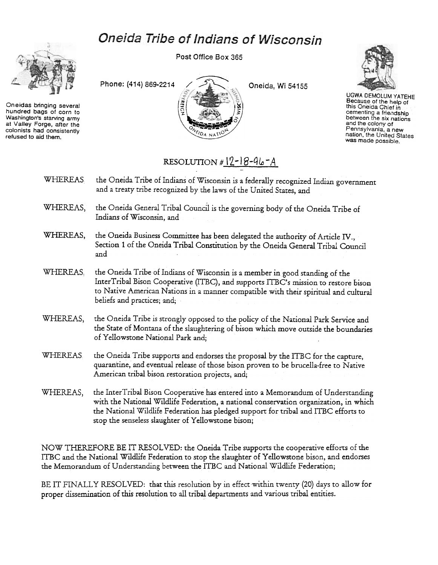## Oneida Tribe of Indians of Wisconsin



Oneidas bringing several hundred bags of corn to Washington's starving army at Valley Forge, after the colonists nad consistently refused to aid them.

Post Office Box 365





UGWA OEMOLUM YATEHE Because of the help of this Oneida Chief in cementing a friendship between the six nation<br>and the colony of Pennsylvania. a new nation, the United States was made possible.

## RESOLUTION  $# 12-18-96-4$

- WHEREAS the Oneida Tribe of Indians of Wisconsin is a federally recognized Indian government and a treaty tribe recognized by the laws of the United States, and
- WHEREAS, the Oneida General Tribal Council is the governing body of the Oneida Tribe of Indians of Wisconsin, and
- WHEREAS, the Oneida Business Committee has been delegated the authority of Article IV., Section 1 of the Oneida Tribal Constitution by the Oneida General Tribal Council and
- WHEREAS, the Oneida Tribe of Indians of Wisconsin is a member in good standing of the InterTribal Bison Cooperative (ITBC), and supports ITBC's mission to restore bison to Native American Nations in a manner compatible with their spiritual and cultural beliefs and practices; and;
- WHEREAS, the Oneida Tribe is strongly opposed to the policy of the National Park Service and the State of Montana of the slaughtering of bison which move outside the boundaries of Yellowstone National Park and;
- WHEREAS the Oneida Tribe supports and endorses the proposal by the ITBC for the capture, quarantine, and eventual release of those bison proven to be brucella-free to Native American tribal bison restoration projects, and;
- WHEREAS, the InterTribal Bison Cooperative has entered into a Memorandum of Understanding with the National Wildlife Federation, a national conservation organization, in which the National Wildlife Federation has pledged support lor tribal and ITBC efforts to stop the senseless slaughter of Yellowstone bison;

NOW THEREFORE BE IT RESOLVED: the Oneida Tribe supports the cooperative efforts of the ITBC and the National Wildlife Federation to stop the slaughter of Yellowstone bison, and endorses the Memorandum of Understanding between the ITBC and National Wildlife Federation;

BE IT FINALLY RESOLVED: that this resolution by in effect within twenty (20) days to allow for proper dissemination of this resolution to all tribal departments and various tribal entities.